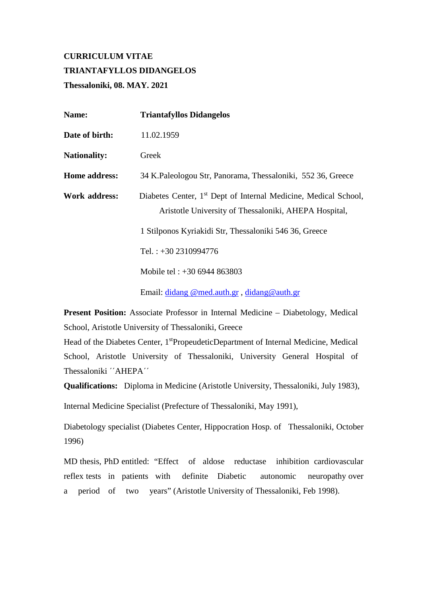# **CURRICULUM VITAE TRIANTAFYLLOS DIDANGELOS Thessaloniki, 08. MAY. 2021**

| Name:               | <b>Triantafyllos Didangelos</b>                                                                                                      |
|---------------------|--------------------------------------------------------------------------------------------------------------------------------------|
| Date of birth:      | 11.02.1959                                                                                                                           |
| <b>Nationality:</b> | Greek                                                                                                                                |
| Home address:       | 34 K.Paleologou Str, Panorama, Thessaloniki, 552 36, Greece                                                                          |
| Work address:       | Diabetes Center, 1 <sup>st</sup> Dept of Internal Medicine, Medical School,<br>Aristotle University of Thessaloniki, AHEPA Hospital, |
|                     | 1 Stilponos Kyriakidi Str, Thessaloniki 546 36, Greece                                                                               |
|                     | Tel.: $+30$ 2310994776                                                                                                               |
|                     | Mobile tel : $+306944863803$                                                                                                         |
|                     | Email: didang @med.auth.gr, didang@auth.gr                                                                                           |

**Present Position:** Associate Professor in Internal Medicine – Diabetology, Medical School, Aristotle University of Thessaloniki, Greece

Head of the Diabetes Center, 1<sup>st</sup>PropeudeticDepartment of Internal Medicine, Medical School, Aristotle University of Thessaloniki, University General Hospital of Thessaloniki ΄΄AHEPA΄΄

**Qualifications:** Diploma in Medicine (Aristotle University, Thessaloniki, July 1983),

Internal Medicine Specialist (Prefecture of Thessaloniki, May 1991),

Diabetology specialist (Diabetes Center, Hippocration Hosp. of Thessaloniki, October 1996)

MD thesis, PhD entitled: "Effect of aldose reductase inhibition cardiovascular reflex tests in patients with definite Diabetic autonomic neuropathy over a period of two years" (Aristotle University of Thessaloniki, Feb 1998).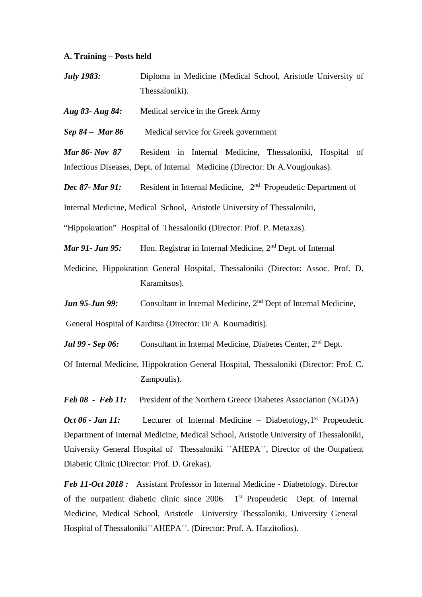#### **A. Training – Posts held**

*July 1983:* Diploma in Medicine (Medical School, Aristotle University of Thessaloniki).

*Aug 83- Aug 84:* Medical service in the Greek Army

*Sep 84 –**Mar 86* Medical service for Greek government

*Mar 86- Nov 87* Resident in Internal Medicine, Thessaloniki, Hospital of Infectious Diseases, Dept. of Internal Medicine (Director: Dr A.Vougioukas).

*Dec 87- Mar 91:* Resident in Internal Medicine, 2<sup>nd</sup> Propeudetic Department of

Internal Medicine, Medical School, Aristotle University of Thessaloniki,

"Hippokration" Hospital of Thessaloniki (Director: Prof. P. Metaxas).

*Mar 91- Jun 95:* Hon. Registrar in Internal Medicine, 2<sup>nd</sup> Dept. of Internal

- Medicine, Hippokration General Hospital, Thessaloniki (Director: Assoc. Prof. D. Karamitsos).
- *Jun 95-Jun 99:* Consultant in Internal Medicine, 2<sup>nd</sup> Dept of Internal Medicine,

General Hospital of Karditsa (Director: Dr A. Koumaditis).

*Jul 99 - Sep 06:* Consultant in Internal Medicine, Diabetes Center, 2<sup>nd</sup> Dept.

Of Internal Medicine, Hippokration General Hospital, Thessaloniki (Director: Prof. C. Zampoulis).

*Feb 08 - Feb 11:* President of the Northern Greece Diabetes Association (NGDA)

*Oct 06 - Jan 11:* Lecturer of Internal Medicine – Diabetology, 1<sup>st</sup> Propeudetic Department of Internal Medicine, Medical School, Aristotle University of Thessaloniki, University General Hospital of Thessaloniki ΄΄AHEPA΄΄, Director of the Outpatient Diabetic Clinic (Director: Prof. D. Grekas).

*Feb 11-Oct 2018 :* Assistant Professor in Internal Medicine - Diabetology. Director of the outpatient diabetic clinic since 2006. 1<sup>st</sup> Propeudetic Dept. of Internal Medicine, Medical School, Aristotle University Thessaloniki, University General Hospital of Thessaloniki΄΄AHEPA΄΄. (Director: Prof. A. Hatzitolios).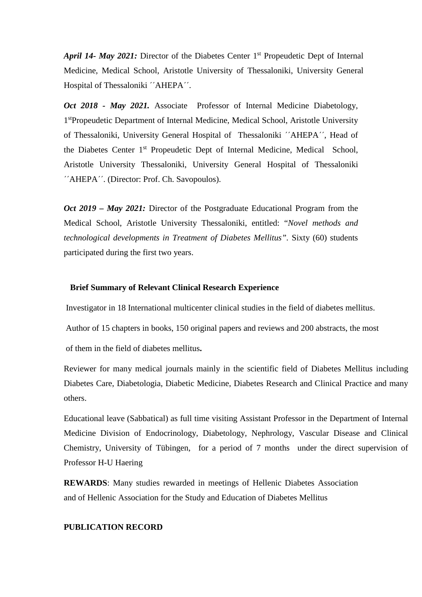*April 14- May 2021:* Director of the Diabetes Center 1<sup>st</sup> Propeudetic Dept of Internal Medicine, Medical School, Aristotle University of Thessaloniki, University General Hospital of Thessaloniki ΄΄AHEPA΄΄.

*Oct 2018 - May 2021.* Associate Professor of Internal Medicine Diabetology, 1stPropeudetic Department of Internal Medicine, Medical School, Aristotle University of Thessaloniki, University General Hospital of Thessaloniki ΄΄AHEPA΄΄, Head of the Diabetes Center 1st Propeudetic Dept of Internal Medicine, Medical School, Aristotle University Thessaloniki, University General Hospital of Thessaloniki ΄΄AHEPA΄΄. (Director: Prof. Ch. Savopoulos).

*Oct 2019 – May 2021:* Director of the Postgraduate Educational Program from the Medical School, Aristotle University Thessaloniki, entitled: "*Novel methods and technological developments in Treatment of Diabetes Mellitus".* Sixty (60) students participated during the first two years.

## **Brief Summary of Relevant Clinical Research Experience**

Investigator in 18 International multicenter clinical studies in the field of diabetes mellitus.

Author of 15 chapters in books, 150 original papers and reviews and 200 abstracts, the most

of them in the field of diabetes mellitus**.** 

Reviewer for many medical journals mainly in the scientific field of Diabetes Mellitus including Diabetes Care, Diabetologia, Diabetic Medicine, Diabetes Research and Clinical Practice and many others.

Educational leave (Sabbatical) as full time visiting Assistant Professor in the Department of Internal Medicine Division of Endocrinology, Diabetology, Nephrology, Vascular Disease and Clinical Chemistry, University of Tübingen, for a period of 7 months under the direct supervision of Professor H-U Haering

**REWARDS**: Many studies rewarded in meetings of Hellenic Diabetes Association and of Hellenic Association for the Study and Education of Diabetes Mellitus

## **PUBLICATION RECORD**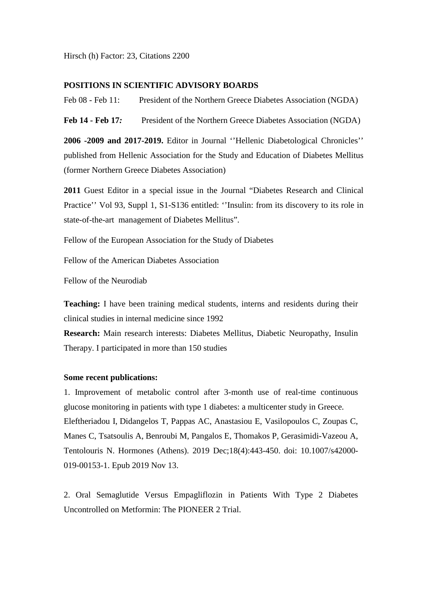Hirsch (h) Factor: 23, Citations 2200

# **POSITIONS IN SCIENTIFIC ADVISORY BOARDS**

Feb 08 - Feb 11: President of the Northern Greece Diabetes Association (NGDA)

**Feb 14 - Feb 17***:* President of the Northern Greece Diabetes Association (NGDA)

**2006 -2009 and 2017-2019.** Editor in Journal ''Hellenic Diabetological Chronicles'' published from Hellenic Association for the Study and Education of Diabetes Mellitus (former Northern Greece Diabetes Association)

**2011** Guest Editor in a special issue in the Journal "Diabetes Research and Clinical Practice'' Vol 93, Suppl 1, S1-S136 entitled: ''Insulin: from its discovery to its role in state-of-the-art management of Diabetes Mellitus".

Fellow of the European Association for the Study of Diabetes

Fellow of the American Diabetes Association

Fellow of the Neurodiab

**Teaching:** I have been training medical students, interns and residents during their clinical studies in internal medicine since 1992

**Research:** Main research interests: Diabetes Mellitus, Diabetic Neuropathy, Insulin Therapy. I participated in more than 150 studies

#### **Some recent publications:**

1. [Improvement of metabolic control after 3-month use of real-time continuous](https://www.ncbi.nlm.nih.gov/pubmed/31721132)  [glucose monitoring in patients with type 1 diabetes: a multicenter study in Greece.](https://www.ncbi.nlm.nih.gov/pubmed/31721132) Eleftheriadou I, Didangelos T, Pappas AC, Anastasiou E, Vasilopoulos C, Zoupas C, Manes C, Tsatsoulis A, Benroubi M, Pangalos E, Thomakos P, Gerasimidi-Vazeou A, Tentolouris N. Hormones (Athens). 2019 Dec;18(4):443-450. doi: 10.1007/s42000- 019-00153-1. Epub 2019 Nov 13.

2. [Oral Semaglutide Versus Empagliflozin in Patients With Type 2 Diabetes](https://www.ncbi.nlm.nih.gov/pubmed/31530666)  [Uncontrolled on Metformin: The PIONEER 2 Trial.](https://www.ncbi.nlm.nih.gov/pubmed/31530666)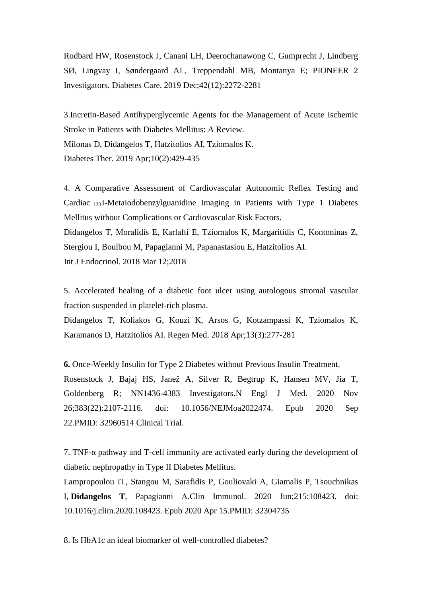Rodbard HW, Rosenstock J, Canani LH, Deerochanawong C, Gumprecht J, Lindberg SØ, Lingvay I, Søndergaard AL, Treppendahl MB, Montanya E; PIONEER 2 Investigators. Diabetes Care. 2019 Dec;42(12):2272-2281

3[.Incretin-Based Antihyperglycemic Agents for the Management of Acute Ischemic](https://www.ncbi.nlm.nih.gov/pubmed/30725400)  [Stroke in Patients with Diabetes Mellitus: A Review.](https://www.ncbi.nlm.nih.gov/pubmed/30725400) Milonas D, Didangelos T, Hatzitolios AI, Tziomalos K. Diabetes Ther. 2019 Apr;10(2):429-435

4. [A Comparative Assessment of Cardiovascular Autonomic Reflex Testing and](https://www.ncbi.nlm.nih.gov/pubmed/29721015)  Cardiac [123I-Metaiodobenzylguanidine Imaging in Patients with Type 1 Diabetes](https://www.ncbi.nlm.nih.gov/pubmed/29721015)  [Mellitus without Complications or Cardiovascular Risk Factors.](https://www.ncbi.nlm.nih.gov/pubmed/29721015)

Didangelos T, Moralidis E, Karlafti E, Tziomalos K, Margaritidis C, Kontoninas Z, Stergiou I, Boulbou M, Papagianni M, Papanastasiou E, Hatzitolios AI. Int J Endocrinol. 2018 Mar 12;2018

5. [Accelerated healing of a diabetic foot ulcer using autologous stromal vascular](https://www.ncbi.nlm.nih.gov/pubmed/29715071)  [fraction suspended in platelet-rich plasma.](https://www.ncbi.nlm.nih.gov/pubmed/29715071)

Didangelos T, Koliakos G, Kouzi K, Arsos G, Kotzampassi K, Tziomalos K, Karamanos D, Hatzitolios AI. Regen Med. 2018 Apr;13(3):277-281

**6.** [Once-Weekly Insulin for Type 2 Diabetes without Previous Insulin Treatment.](https://pubmed.ncbi.nlm.nih.gov/32960514/) Rosenstock J, Bajaj HS, Janež A, Silver R, Begtrup K, Hansen MV, Jia T, Goldenberg R; NN1436-4383 Investigators.N Engl J Med. 2020 Nov 26;383(22):2107-2116. doi: 10.1056/NEJMoa2022474. Epub 2020 Sep 22.PMID: 32960514 Clinical Trial.

7. TNF-α [pathway and T-cell immunity are activated early during the development of](https://pubmed.ncbi.nlm.nih.gov/32304735/)  [diabetic nephropathy in Type II Diabetes Mellitus.](https://pubmed.ncbi.nlm.nih.gov/32304735/)

Lampropoulou IT, Stangou Μ, Sarafidis P, Gouliovaki A, Giamalis P, Tsouchnikas I, **Didangelos T**, Papagianni Α.Clin Immunol. 2020 Jun;215:108423. doi: 10.1016/j.clim.2020.108423. Epub 2020 Apr 15.PMID: 32304735

8. [Is HbA1c an ideal biomarker of well-controlled diabetes?](https://pubmed.ncbi.nlm.nih.gov/32913038/)